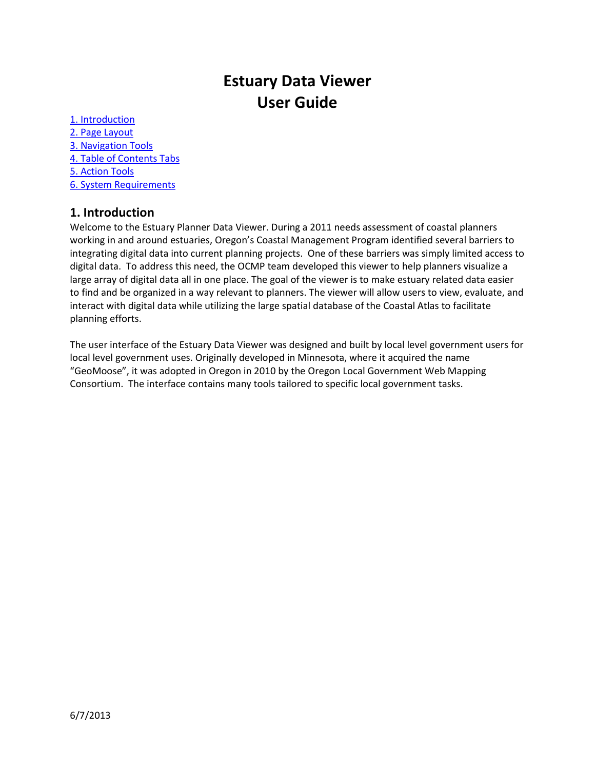# **Estuary Data Viewer User Guide**

[1. Introduction](#page-1-0) [2. Page Layout](#page-1-0) [3. Navigation](#page-2-0) Tools [4. Table of Contents Tabs](#page-3-0) [5. Action Tools](#page-4-0) [6. System Requirements](#page-7-0)

# **1. Introduction**

Welcome to the Estuary Planner Data Viewer. During a 2011 needs assessment of coastal planners working in and around estuaries, Oregon's Coastal Management Program identified several barriers to integrating digital data into current planning projects. One of these barriers was simply limited access to digital data. To address this need, the OCMP team developed this viewer to help planners visualize a large array of digital data all in one place. The goal of the viewer is to make estuary related data easier to find and be organized in a way relevant to planners. The viewer will allow users to view, evaluate, and interact with digital data while utilizing the large spatial database of the Coastal Atlas to facilitate planning efforts.

The user interface of the Estuary Data Viewer was designed and built by local level government users for local level government uses. Originally developed in Minnesota, where it acquired the name "GeoMoose", it was adopted in Oregon in 2010 by the Oregon Local Government Web Mapping Consortium. The interface contains many tools tailored to specific local government tasks.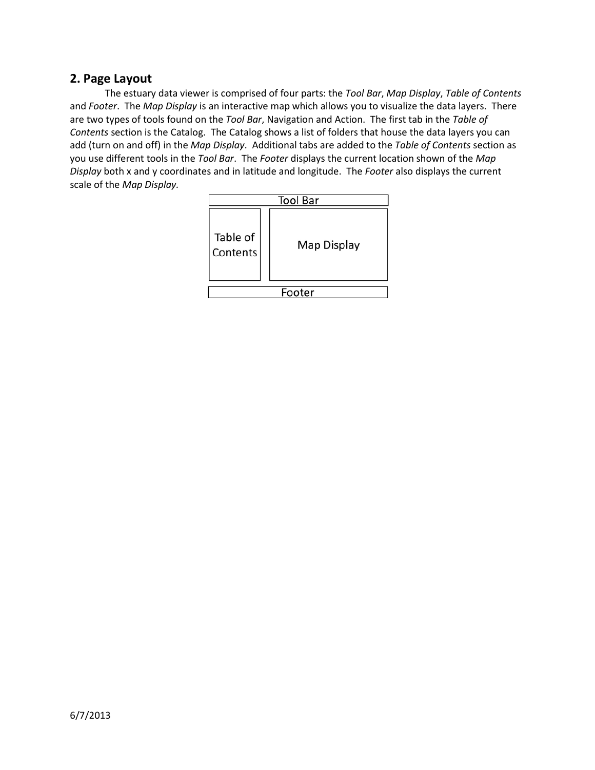# <span id="page-1-0"></span>**2. Page Layout**

The estuary data viewer is comprised of four parts: the *Tool Bar*, *Map Display*, *Table of Contents*  and *Footer*. The *Map Display* is an interactive map which allows you to visualize the data layers. There are two types of tools found on the *Tool Bar*, Navigation and Action. The first tab in the *Table of Contents* section is the Catalog. The Catalog shows a list of folders that house the data layers you can add (turn on and off) in the *Map Display*. Additional tabs are added to the *Table of Contents* section as you use different tools in the *Tool Bar*. The *Footer* displays the current location shown of the *Map Display* both x and y coordinates and in latitude and longitude. The *Footer* also displays the current scale of the *Map Display.*

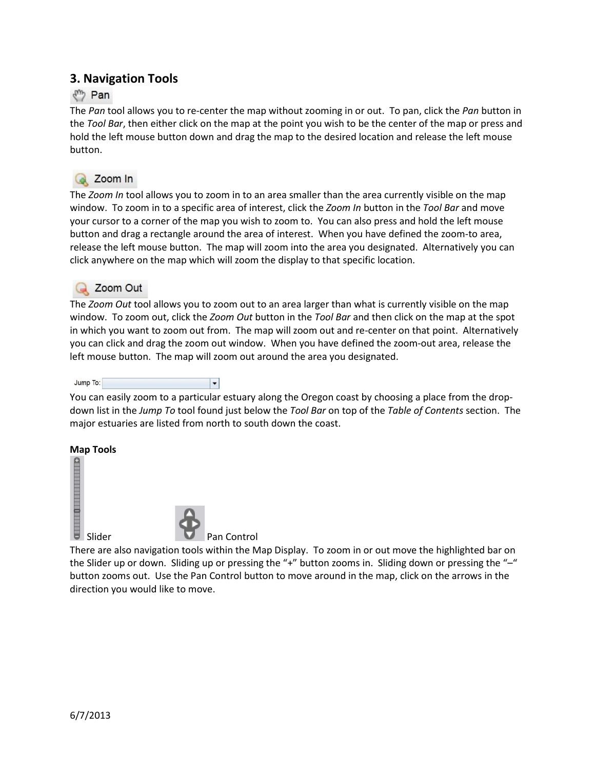# <span id="page-2-0"></span>**3. Navigation Tools**

# √<sup>m</sup> Pan

The *Pan* tool allows you to re-center the map without zooming in or out. To pan, click the *Pan* button in the *Tool Bar*, then either click on the map at the point you wish to be the center of the map or press and hold the left mouse button down and drag the map to the desired location and release the left mouse button.



The *Zoom In* tool allows you to zoom in to an area smaller than the area currently visible on the map window. To zoom in to a specific area of interest, click the *Zoom In* button in the *Tool Bar* and move your cursor to a corner of the map you wish to zoom to. You can also press and hold the left mouse button and drag a rectangle around the area of interest. When you have defined the zoom-to area, release the left mouse button. The map will zoom into the area you designated. Alternatively you can click anywhere on the map which will zoom the display to that specific location.

**The** *Z***oom Out**<br>The *Zoom Out* tool allows you to zoom out to an area larger than what is currently visible on the map window. To zoom out, click the *Zoom Out* button in the *Tool Bar* and then click on the map at the spot in which you want to zoom out from. The map will zoom out and re-center on that point. Alternatively you can click and drag the zoom out window. When you have defined the zoom-out area, release the left mouse button. The map will zoom out around the area you designated.



You can easily zoom to a particular estuary along the Oregon coast by choosing a place from the dropdown list in the *Jump To* tool found just below the *Tool Bar* on top of the *Table of Contents* section. The major estuaries are listed from north to south down the coast.

### **Map Tools**





Slider Pan Control

There are also navigation tools within the Map Display. To zoom in or out move the highlighted bar on the Slider up or down. Sliding up or pressing the "+" button zooms in. Sliding down or pressing the "-" button zooms out. Use the Pan Control button to move around in the map, click on the arrows in the direction you would like to move.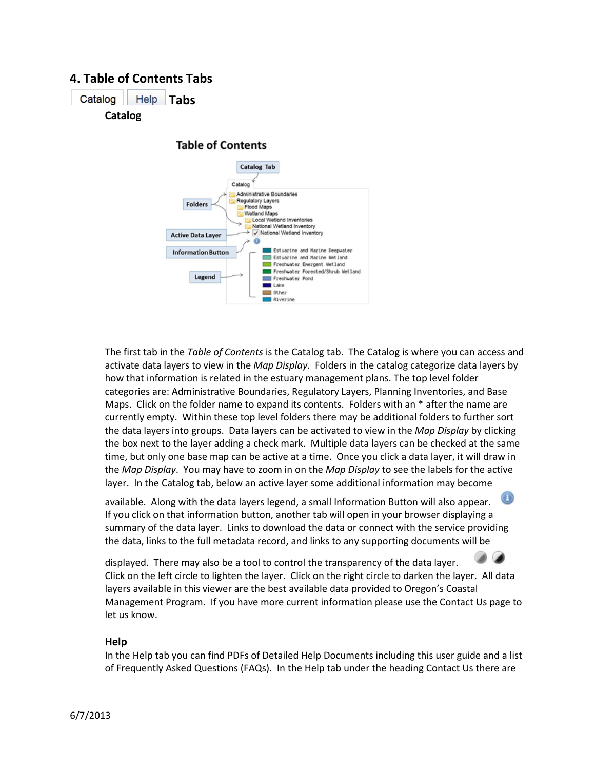# <span id="page-3-0"></span>**4. Table of Contents Tabs**

Catalog | Help | Tabs **Catalog**

**Table of Contents** 



The first tab in the *Table of Contents* is the Catalog tab. The Catalog is where you can access and activate data layers to view in the *Map Display*. Folders in the catalog categorize data layers by how that information is related in the estuary management plans. The top level folder categories are: Administrative Boundaries, Regulatory Layers, Planning Inventories, and Base Maps. Click on the folder name to expand its contents. Folders with an \* after the name are currently empty. Within these top level folders there may be additional folders to further sort the data layers into groups. Data layers can be activated to view in the *Map Display* by clicking the box next to the layer adding a check mark. Multiple data layers can be checked at the same time, but only one base map can be active at a time. Once you click a data layer, it will draw in the *Map Display*. You may have to zoom in on the *Map Display* to see the labels for the active layer. In the Catalog tab, below an active layer some additional information may become

available. Along with the data layers legend, a small Information Button will also appear. If you click on that information button, another tab will open in your browser displaying a summary of the data layer. Links to download the data or connect with the service providing the data, links to the full metadata record, and links to any supporting documents will be

displayed. There may also be a tool to control the transparency of the data layer. Click on the left circle to lighten the layer. Click on the right circle to darken the layer. All data layers available in this viewer are the best available data provided to Oregon's Coastal Management Program. If you have more current information please use the Contact Us page to let us know.

### **Help**

In the Help tab you can find PDFs of Detailed Help Documents including this user guide and a list of Frequently Asked Questions (FAQs). In the Help tab under the heading Contact Us there are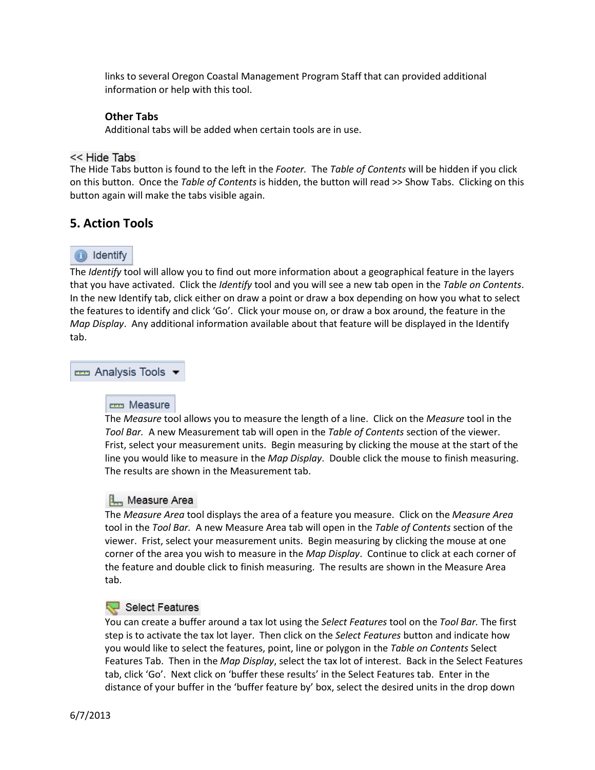links to several Oregon Coastal Management Program Staff that can provided additional information or help with this tool.

### **Other Tabs**

Additional tabs will be added when certain tools are in use.

#### << Hide Tabs

The Hide Tabs button is found to the left in the *Footer.* The *Table of Contents* will be hidden if you click on this button. Once the *Table of Contents* is hidden, the button will read >> Show Tabs. Clicking on this button again will make the tabs visible again.

### <span id="page-4-0"></span>**5. Action Tools**

# identify

The *Identify* tool will allow you to find out more information about a geographical feature in the layers that you have activated. Click the *Identify* tool and you will see a new tab open in the *Table on Contents*. In the new Identify tab, click either on draw a point or draw a box depending on how you what to select the features to identify and click 'Go'. Click your mouse on, or draw a box around, the feature in the *Map Display*. Any additional information available about that feature will be displayed in the Identify tab.

<del>rem</del> Analysis Tools ▼

**The Measure** |<br>The *Measure* tool allows you to measure the length of a line. Click on the *Measure* tool in the *Tool Bar.* A new Measurement tab will open in the *Table of Contents* section of the viewer. Frist, select your measurement units. Begin measuring by clicking the mouse at the start of the line you would like to measure in the *Map Display*. Double click the mouse to finish measuring. The results are shown in the Measurement tab.

### **Im** Measure Area

The *Measure Area* tool displays the area of a feature you measure. Click on the *Measure Area* tool in the *Tool Bar.* A new Measure Area tab will open in the *Table of Contents* section of the viewer. Frist, select your measurement units. Begin measuring by clicking the mouse at one corner of the area you wish to measure in the *Map Display*. Continue to click at each corner of the feature and double click to finish measuring. The results are shown in the Measure Area tab.

### Select Features

You can create a buffer around a tax lot using the *Select Features* tool on the *Tool Bar.* The first step is to activate the tax lot layer. Then click on the *Select Features* button and indicate how you would like to select the features, point, line or polygon in the *Table on Contents* Select Features Tab. Then in the *Map Display*, select the tax lot of interest. Back in the Select Features tab, click 'Go'. Next click on 'buffer these results' in the Select Features tab. Enter in the distance of your buffer in the 'buffer feature by' box, select the desired units in the drop down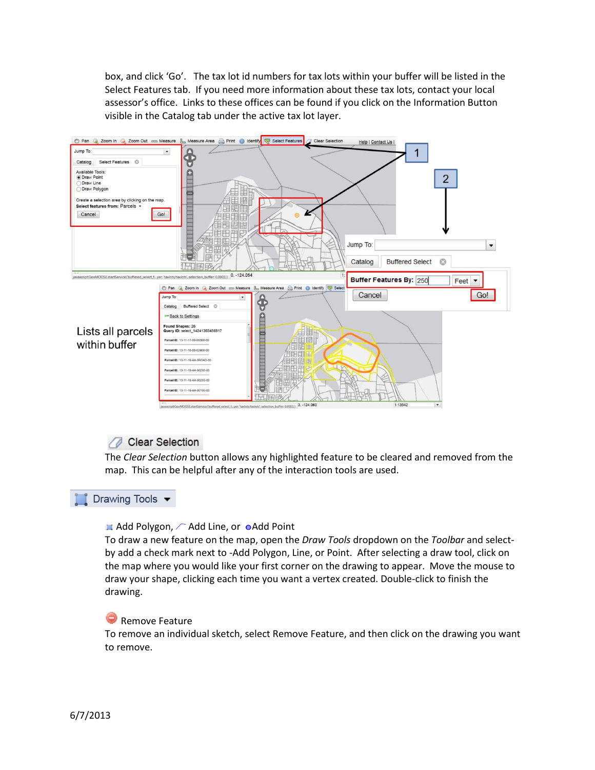box, and click 'Go'. The tax lot id numbers for tax lots within your buffer will be listed in the Select Features tab. If you need more information about these tax lots, contact your local assessor's office. Links to these offices can be found if you click on the Information Button visible in the Catalog tab under the active tax lot layer.



**The Clear Selection**<br>The *Clear Selection* button allows any highlighted feature to be cleared and removed from the map. This can be helpful after any of the interaction tools are used.

### Drawing Tools  $\blacktriangledown$

#### $\blacksquare$  Add Polygon,  $\curvearrowright$  Add Line, or  $\lozenge$  Add Point

To draw a new feature on the map, open the *Draw Tools* dropdown on the *Toolbar* and selectby add a check mark next to -Add Polygon, Line, or Point. After selecting a draw tool, click on the map where you would like your first corner on the drawing to appear. Move the mouse to draw your shape, clicking each time you want a vertex created. Double-click to finish the drawing.

#### Remove Feature

To remove an individual sketch, select Remove Feature, and then click on the drawing you want to remove.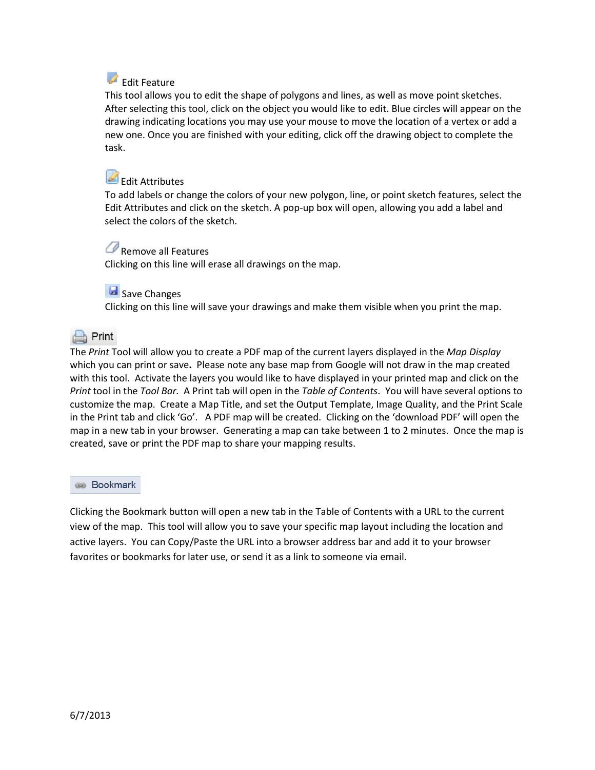# Edit Feature

This tool allows you to edit the shape of polygons and lines, as well as move point sketches. After selecting this tool, click on the object you would like to edit. Blue circles will appear on the drawing indicating locations you may use your mouse to move the location of a vertex or add a new one. Once you are finished with your editing, click off the drawing object to complete the task.

# Edit Attributes

To add labels or change the colors of your new polygon, line, or point sketch features, select the Edit Attributes and click on the sketch. A pop-up box will open, allowing you add a label and select the colors of the sketch.

# Remove all Features

Clicking on this line will erase all drawings on the map.

## Save Changes

Clicking on this line will save your drawings and make them visible when you print the map.

# $Print$

The *Print* Tool will allow you to create a PDF map of the current layers displayed in the *Map Display* which you can print or save**.** Please note any base map from Google will not draw in the map created with this tool. Activate the layers you would like to have displayed in your printed map and click on the *Print* tool in the *Tool Bar.* A Print tab will open in the *Table of Contents*. You will have several options to customize the map. Create a Map Title, and set the Output Template, Image Quality, and the Print Scale in the Print tab and click 'Go'. A PDF map will be created. Clicking on the 'download PDF' will open the map in a new tab in your browser. Generating a map can take between 1 to 2 minutes. Once the map is created, save or print the PDF map to share your mapping results.

### **Bookmark**

Clicking the Bookmark button will open a new tab in the Table of Contents with a URL to the current view of the map. This tool will allow you to save your specific map layout including the location and active layers. You can Copy/Paste the URL into a browser address bar and add it to your browser favorites or bookmarks for later use, or send it as a link to someone via email.